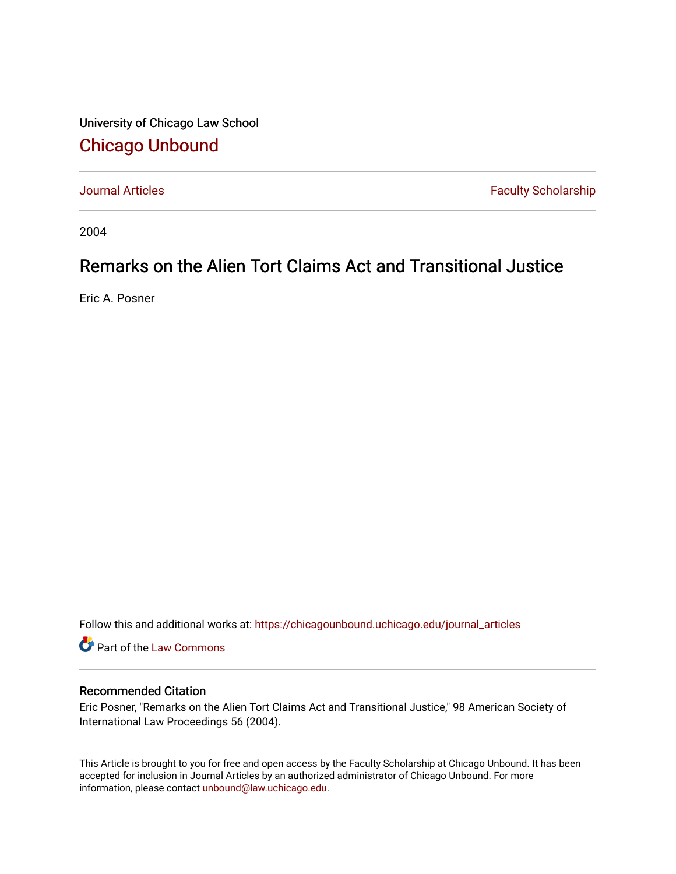University of Chicago Law School [Chicago Unbound](https://chicagounbound.uchicago.edu/)

[Journal Articles](https://chicagounbound.uchicago.edu/journal_articles) **Faculty Scholarship Faculty Scholarship** 

2004

## Remarks on the Alien Tort Claims Act and Transitional Justice

Eric A. Posner

Follow this and additional works at: [https://chicagounbound.uchicago.edu/journal\\_articles](https://chicagounbound.uchicago.edu/journal_articles?utm_source=chicagounbound.uchicago.edu%2Fjournal_articles%2F7716&utm_medium=PDF&utm_campaign=PDFCoverPages) 

**C** Part of the [Law Commons](http://network.bepress.com/hgg/discipline/578?utm_source=chicagounbound.uchicago.edu%2Fjournal_articles%2F7716&utm_medium=PDF&utm_campaign=PDFCoverPages)

## Recommended Citation

Eric Posner, "Remarks on the Alien Tort Claims Act and Transitional Justice," 98 American Society of International Law Proceedings 56 (2004).

This Article is brought to you for free and open access by the Faculty Scholarship at Chicago Unbound. It has been accepted for inclusion in Journal Articles by an authorized administrator of Chicago Unbound. For more information, please contact [unbound@law.uchicago.edu](mailto:unbound@law.uchicago.edu).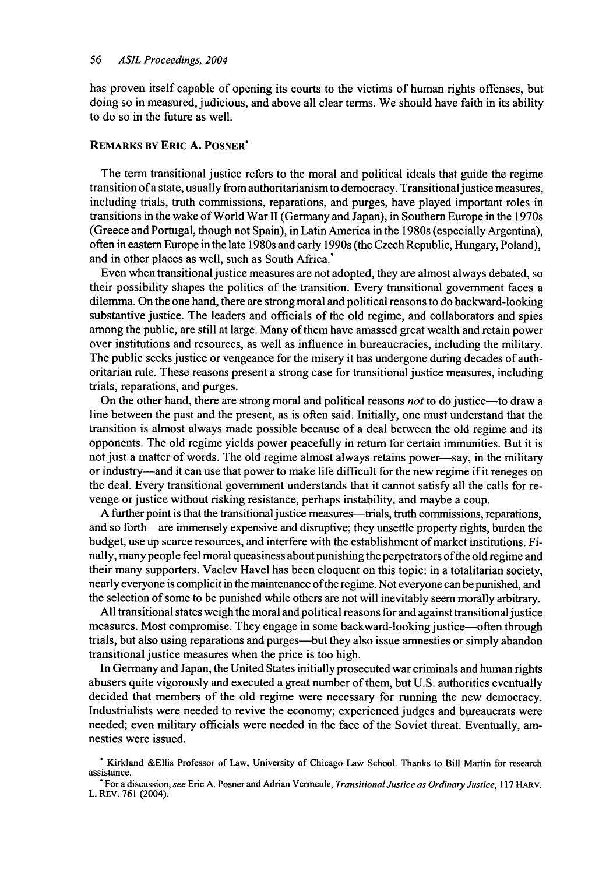has proven itself capable of opening its courts to the victims of human rights offenses, but doing so in measured, judicious, and above all clear terms. We should have faith in its ability to do so in the future as well.

## **REMARKS BY** ERic **A. POSNER\***

The term transitional justice refers to the moral and political ideals that guide the regime transition of a state, usually from authoritarianism to democracy. Transitional justice measures, including trials, truth commissions, reparations, and purges, have played important roles in transitions in the wake of World War II (Germany and Japan), in Southern Europe in the 1970s (Greece and Portugal, though not Spain), in Latin America in the 1980s (especially Argentina), often in eastern Europe in the late 1980s and early 1990s (the Czech Republic, Hungary, Poland), and in other places as well, such as South Africa.<sup>\*</sup>

Even when transitional justice measures are not adopted, they are almost always debated, so their possibility shapes the politics of the transition. Every transitional government faces a dilemma. On the one hand, there are strong moral and political reasons to do backward-looking substantive justice. The leaders and officials of the old regime, and collaborators and spies among the public, are still at large. Many of them have amassed great wealth and retain power over institutions and resources, as well as influence in bureaucracies, including the military. The public seeks justice or vengeance for the misery it has undergone during decades of authoritarian rule. These reasons present a strong case for transitional justice measures, including trials, reparations, and purges.

On the other hand, there are strong moral and political reasons *not* to do justice-to draw a line between the past and the present, as is often said. Initially, one must understand that the transition is almost always made possible because of a deal between the old regime and its opponents. The old regime yields power peacefully in return for certain immunities. But it is not just a matter of words. The old regime almost always retains power—say, in the military or industry-and it can use that power to make life difficult for the new regime if it reneges on the deal. Every transitional government understands that it cannot satisfy all the calls for revenge or justice without risking resistance, perhaps instability, and maybe a coup.

A further point is that the transitional justice measures—trials, truth commissions, reparations, and so forth-are immensely expensive and disruptive; they unsettle property rights, burden the budget, use up scarce resources, and interfere with the establishment of market institutions. Finally, many people feel moral queasiness about punishing the perpetrators ofthe old regime and their many supporters. Vaclev Havel has been eloquent on this topic: in a totalitarian society, nearly everyone is complicit in the maintenance of the regime. Not everyone can be punished, and the selection of some to be punished while others are not will inevitably seem morally arbitrary.

All transitional states weigh the moral and political reasons for and against transitional justice measures. Most compromise. They engage in some backward-looking justice-often through trials, but also using reparations and purges-but they also issue amnesties or simply abandon transitional justice measures when the price is too high.

In Germany and Japan, the United States initially prosecuted war criminals and human rights abusers quite vigorously and executed a great number of them, but U.S. authorities eventually decided that members of the old regime were necessary for running the new democracy. Industrialists were needed to revive the economy; experienced judges and bureaucrats were needed; even military officials were needed in the face of the Soviet threat. Eventually, amnesties were issued.

**<sup>\*</sup>** Kirkland &Ellis Professor of Law, University of Chicago Law School. Thanks to Bill Martin for research assistance.

<sup>\*</sup>For a discussion, *see* Eric A. Posner and Adrian Vermeule, Transitional *Justice as Ordinary Justice, 117* HARV. L. REV. 761 (2004).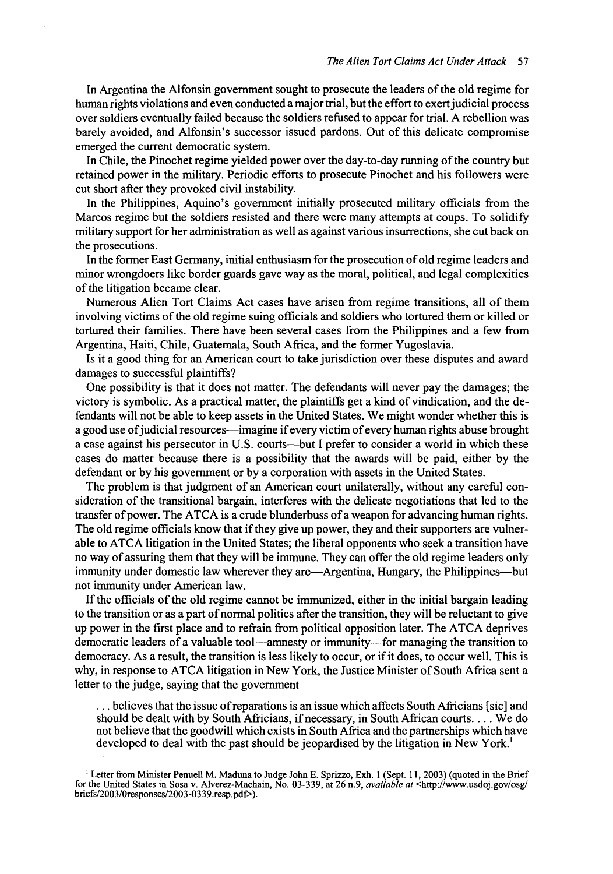In Argentina the Alfonsin government sought to prosecute the leaders of the old regime for human rights violations and even conducted a major trial, but the effort to exert judicial process over soldiers eventually failed because the soldiers refused to appear for trial. A rebellion was barely avoided, and Alfonsin's successor issued pardons. Out of this delicate compromise emerged the current democratic system.

In Chile, the Pinochet regime yielded power over the day-to-day running of the country but retained power in the military. Periodic efforts to prosecute Pinochet and his followers were cut short after they provoked civil instability.

In the Philippines, Aquino's government initially prosecuted military officials from the Marcos regime but the soldiers resisted and there were many attempts at coups. To solidify military support for her administration as well as against various insurrections, she cut back on the prosecutions.

In the former East Germany, initial enthusiasm for the prosecution of old regime leaders and minor wrongdoers like border guards gave way as the moral, political, and legal complexities of the litigation became clear.

Numerous Alien Tort Claims Act cases have arisen from regime transitions, all of them involving victims of the old regime suing officials and soldiers who tortured them or killed or tortured their families. There have been several cases from the Philippines and a few from Argentina, Haiti, Chile, Guatemala, South Africa, and the former Yugoslavia.

Is it a good thing for an American court to take jurisdiction over these disputes and award damages to successful plaintiffs?

One possibility is that it does not matter. The defendants will never pay the damages; the victory is symbolic. As a practical matter, the plaintiffs get a kind of vindication, and the defendants will not be able to keep assets in the United States. We might wonder whether this is a good use ofjudicial resources-imagine if every victim of every human rights abuse brought a case against his persecutor in U.S. courts—but I prefer to consider a world in which these cases do matter because there is a possibility that the awards will be paid, either by the defendant or by his government or by a corporation with assets in the United States.

The problem is that judgment of an American court unilaterally, without any careful consideration of the transitional bargain, interferes with the delicate negotiations that led to the transfer of power. The ATCA is a crude blunderbuss of a weapon for advancing human rights. The old regime officials know that if they give up power, they and their supporters are vulnerable to ATCA litigation in the United States; the liberal opponents who seek a transition have no way of assuring them that they will be immune. They can offer the old regime leaders only immunity under domestic law wherever they are—Argentina, Hungary, the Philippines—but not immunity under American law.

**If** the officials of the old regime cannot be immunized, either in the initial bargain leading to the transition or as a part of normal politics after the transition, they will be reluctant to give up power in the first place and to refrain from political opposition later. The **ATCA** deprives democratic leaders of a valuable tool—amnesty or immunity—for managing the transition to democracy. As a result, the transition is less likely to occur, or if it does, to occur well. This is why, in response to **ATCA** litigation in New York, the Justice Minister of South Africa sent a letter to the judge, saying that the government

**...** believes that the issue of reparations is an issue which affects South Africians [sic] and should be dealt with **by** South Africians, if necessary, in South African **courts....** We do not believe that the goodwill which exists in South Africa and the partnerships which have developed to deal with the past should be jeopardised by the litigation in New York.<sup>1</sup>

Letter from Minister Penuell M. Maduna to Judge John **E.** Sprizzo, Exh. **1** (Sept. **11, 2003)** (quoted in the Brief for the United States in Sosa v. Alverez-Machain, No. 03-339, at 26 n.9, *available at* <http://www.usdoj.gov/osg/ briefs/2003/0responses/2003-0339.resp.pdf>).